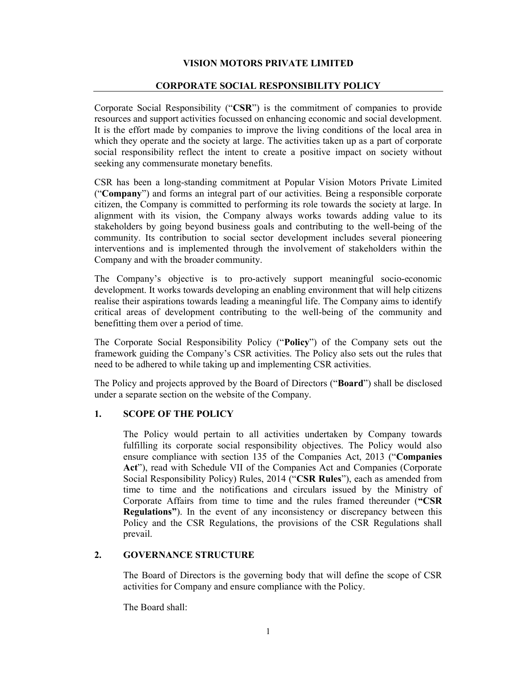## VISION MOTORS PRIVATE LIMITED

### CORPORATE SOCIAL RESPONSIBILITY POLICY

Corporate Social Responsibility ("CSR") is the commitment of companies to provide resources and support activities focussed on enhancing economic and social development. It is the effort made by companies to improve the living conditions of the local area in which they operate and the society at large. The activities taken up as a part of corporate social responsibility reflect the intent to create a positive impact on society without seeking any commensurate monetary benefits.

CSR has been a long-standing commitment at Popular Vision Motors Private Limited ("Company") and forms an integral part of our activities. Being a responsible corporate citizen, the Company is committed to performing its role towards the society at large. In alignment with its vision, the Company always works towards adding value to its stakeholders by going beyond business goals and contributing to the well-being of the community. Its contribution to social sector development includes several pioneering interventions and is implemented through the involvement of stakeholders within the Company and with the broader community.

The Company's objective is to pro-actively support meaningful socio-economic development. It works towards developing an enabling environment that will help citizens realise their aspirations towards leading a meaningful life. The Company aims to identify critical areas of development contributing to the well-being of the community and benefitting them over a period of time.

The Corporate Social Responsibility Policy ("Policy") of the Company sets out the framework guiding the Company's CSR activities. The Policy also sets out the rules that need to be adhered to while taking up and implementing CSR activities.

The Policy and projects approved by the Board of Directors ("Board") shall be disclosed under a separate section on the website of the Company.

## 1. SCOPE OF THE POLICY

The Policy would pertain to all activities undertaken by Company towards fulfilling its corporate social responsibility objectives. The Policy would also ensure compliance with section 135 of the Companies Act, 2013 ("Companies Act"), read with Schedule VII of the Companies Act and Companies (Corporate Social Responsibility Policy) Rules, 2014 ("CSR Rules"), each as amended from time to time and the notifications and circulars issued by the Ministry of Corporate Affairs from time to time and the rules framed thereunder ("CSR Regulations"). In the event of any inconsistency or discrepancy between this Policy and the CSR Regulations, the provisions of the CSR Regulations shall prevail.

## 2. GOVERNANCE STRUCTURE

The Board of Directors is the governing body that will define the scope of CSR activities for Company and ensure compliance with the Policy.

The Board shall: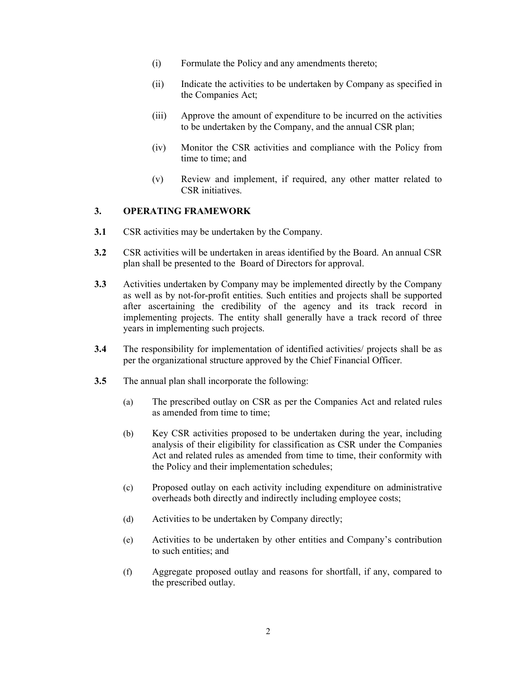- (i) Formulate the Policy and any amendments thereto;
- (ii) Indicate the activities to be undertaken by Company as specified in the Companies Act;
- (iii) Approve the amount of expenditure to be incurred on the activities to be undertaken by the Company, and the annual CSR plan;
- (iv) Monitor the CSR activities and compliance with the Policy from time to time; and
- (v) Review and implement, if required, any other matter related to CSR initiatives.

# 3. OPERATING FRAMEWORK

- 3.1 CSR activities may be undertaken by the Company.
- 3.2 CSR activities will be undertaken in areas identified by the Board. An annual CSR plan shall be presented to the Board of Directors for approval.
- 3.3 Activities undertaken by Company may be implemented directly by the Company as well as by not-for-profit entities. Such entities and projects shall be supported after ascertaining the credibility of the agency and its track record in implementing projects. The entity shall generally have a track record of three years in implementing such projects.
- 3.4 The responsibility for implementation of identified activities/ projects shall be as per the organizational structure approved by the Chief Financial Officer.
- 3.5 The annual plan shall incorporate the following:
	- (a) The prescribed outlay on CSR as per the Companies Act and related rules as amended from time to time;
	- (b) Key CSR activities proposed to be undertaken during the year, including analysis of their eligibility for classification as CSR under the Companies Act and related rules as amended from time to time, their conformity with the Policy and their implementation schedules;
	- (c) Proposed outlay on each activity including expenditure on administrative overheads both directly and indirectly including employee costs;
	- (d) Activities to be undertaken by Company directly;
	- (e) Activities to be undertaken by other entities and Company's contribution to such entities; and
	- (f) Aggregate proposed outlay and reasons for shortfall, if any, compared to the prescribed outlay.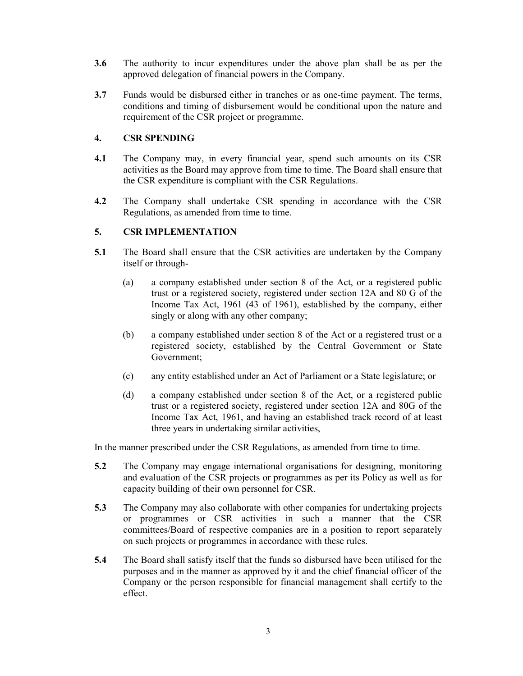- 3.6 The authority to incur expenditures under the above plan shall be as per the approved delegation of financial powers in the Company.
- 3.7 Funds would be disbursed either in tranches or as one-time payment. The terms, conditions and timing of disbursement would be conditional upon the nature and requirement of the CSR project or programme.

# 4. CSR SPENDING

- 4.1 The Company may, in every financial year, spend such amounts on its CSR activities as the Board may approve from time to time. The Board shall ensure that the CSR expenditure is compliant with the CSR Regulations.
- 4.2 The Company shall undertake CSR spending in accordance with the CSR Regulations, as amended from time to time.

## 5. CSR IMPLEMENTATION

- 5.1 The Board shall ensure that the CSR activities are undertaken by the Company itself or through-
	- (a) a company established under section 8 of the Act, or a registered public trust or a registered society, registered under section 12A and 80 G of the Income Tax Act, 1961 (43 of 1961), established by the company, either singly or along with any other company;
	- (b) a company established under section 8 of the Act or a registered trust or a registered society, established by the Central Government or State Government;
	- (c) any entity established under an Act of Parliament or a State legislature; or
	- (d) a company established under section 8 of the Act, or a registered public trust or a registered society, registered under section 12A and 80G of the Income Tax Act, 1961, and having an established track record of at least three years in undertaking similar activities,

In the manner prescribed under the CSR Regulations, as amended from time to time.

- 5.2 The Company may engage international organisations for designing, monitoring and evaluation of the CSR projects or programmes as per its Policy as well as for capacity building of their own personnel for CSR.
- 5.3 The Company may also collaborate with other companies for undertaking projects or programmes or CSR activities in such a manner that the CSR committees/Board of respective companies are in a position to report separately on such projects or programmes in accordance with these rules.
- 5.4 The Board shall satisfy itself that the funds so disbursed have been utilised for the purposes and in the manner as approved by it and the chief financial officer of the Company or the person responsible for financial management shall certify to the effect.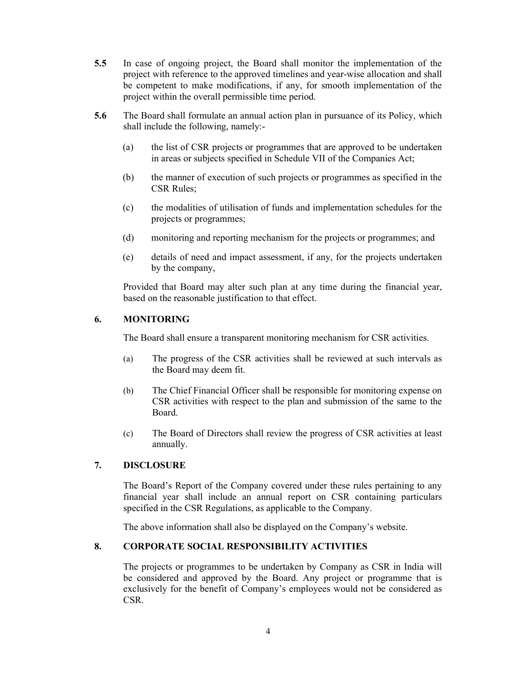- 5.5 In case of ongoing project, the Board shall monitor the implementation of the project with reference to the approved timelines and year-wise allocation and shall be competent to make modifications, if any, for smooth implementation of the project within the overall permissible time period.
- 5.6 The Board shall formulate an annual action plan in pursuance of its Policy, which shall include the following, namely:-
	- (a) the list of CSR projects or programmes that are approved to be undertaken in areas or subjects specified in Schedule VII of the Companies Act;
	- (b) the manner of execution of such projects or programmes as specified in the CSR Rules;
	- (c) the modalities of utilisation of funds and implementation schedules for the projects or programmes;
	- (d) monitoring and reporting mechanism for the projects or programmes; and
	- (e) details of need and impact assessment, if any, for the projects undertaken by the company,

Provided that Board may alter such plan at any time during the financial year, based on the reasonable justification to that effect.

# 6. MONITORING

The Board shall ensure a transparent monitoring mechanism for CSR activities.

- (a) The progress of the CSR activities shall be reviewed at such intervals as the Board may deem fit.
- (b) The Chief Financial Officer shall be responsible for monitoring expense on CSR activities with respect to the plan and submission of the same to the Board.
- (c) The Board of Directors shall review the progress of CSR activities at least annually.

#### 7. DISCLOSURE

The Board's Report of the Company covered under these rules pertaining to any financial year shall include an annual report on CSR containing particulars specified in the CSR Regulations, as applicable to the Company.

The above information shall also be displayed on the Company's website.

### 8. CORPORATE SOCIAL RESPONSIBILITY ACTIVITIES

The projects or programmes to be undertaken by Company as CSR in India will be considered and approved by the Board. Any project or programme that is exclusively for the benefit of Company's employees would not be considered as CSR.